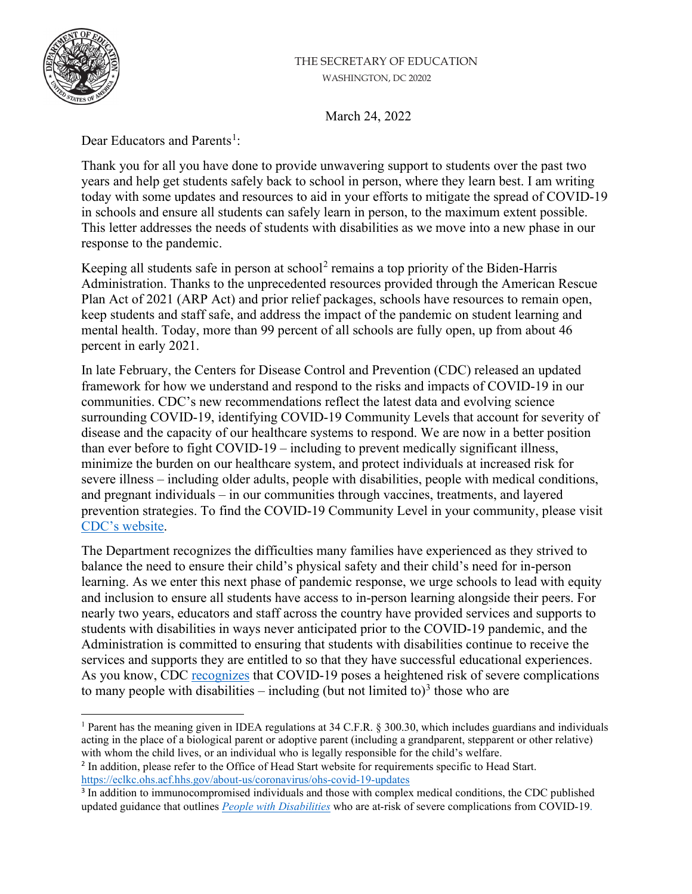## THE SECRETARY OF EDUCATION WASHINGTON, DC 20202



March 24, 2022

Dear Educators and Parents<sup>[1](#page-0-0)</sup>:

Thank you for all you have done to provide unwavering support to students over the past two years and help get students safely back to school in person, where they learn best. I am writing today with some updates and resources to aid in your efforts to mitigate the spread of COVID-19 in schools and ensure all students can safely learn in person, to the maximum extent possible. This letter addresses the needs of students with disabilities as we move into a new phase in our response to the pandemic.

Keeping all students safe in person at school<sup>[2](#page-0-1)</sup> remains a top priority of the Biden-Harris Administration. Thanks to the unprecedented resources provided through the American Rescue Plan Act of 2021 (ARP Act) and prior relief packages, schools have resources to remain open, keep students and staff safe, and address the impact of the pandemic on student learning and mental health. Today, more than 99 percent of all schools are fully open, up from about 46 percent in early 2021.

In late February, the Centers for Disease Control and Prevention (CDC) released an updated framework for how we understand and respond to the risks and impacts of COVID-19 in our communities. CDC's new recommendations reflect the latest data and evolving science surrounding COVID-19, identifying COVID-19 Community Levels that account for severity of disease and the capacity of our healthcare systems to respond. We are now in a better position than ever before to fight COVID-19 – including to prevent medically significant illness, minimize the burden on our healthcare system, and protect individuals at increased risk for severe illness – including older adults, people with disabilities, people with medical conditions, and pregnant individuals – in our communities through vaccines, treatments, and layered prevention strategies. To find the COVID-19 Community Level in your community, please visit CDC's [website.](https://www.cdc.gov/coronavirus/2019-ncov/your-health/covid-by-county.html)

The Department recognizes the difficulties many families have experienced as they strived to balance the need to ensure their child's physical safety and their child's need for in-person learning. As we enter this next phase of pandemic response, we urge schools to lead with equity and inclusion to ensure all students have access to in-person learning alongside their peers. For nearly two years, educators and staff across the country have provided services and supports to students with disabilities in ways never anticipated prior to the COVID-19 pandemic, and the Administration is committed to ensuring that students with disabilities continue to receive the services and supports they are entitled to so that they have successful educational experiences. As you know, CDC [recognizes](https://www.cdc.gov/coronavirus/2019-ncov/need-extra-precautions/people-with-medical-conditions.html) that COVID-19 poses a heightened risk of severe complications to many people with disabilities  $-$  including (but not limited to)<sup>[3](#page-0-2)</sup> those who are

<span id="page-0-0"></span><sup>1</sup> Parent has the meaning given in IDEA regulations at 34 C.F.R. § 300.30, which includes guardians and individuals acting in the place of a biological parent or adoptive parent (including a grandparent, stepparent or other relative) with whom the child lives, or an individual who is legally responsible for the child's welfare.

<span id="page-0-1"></span><sup>2</sup> In addition, please refer to the Office of Head Start website for requirements specific to Head Start. <https://eclkc.ohs.acf.hhs.gov/about-us/coronavirus/ohs-covid-19-updates>

<span id="page-0-2"></span><sup>&</sup>lt;sup>3</sup> In addition to immunocompromised individuals and those with complex medical conditions, the CDC published updated guidance that outlines *[People with Disabilities](https://www.cdc.gov/coronavirus/2019-ncov/need-extra-precautions/people-with-medical-conditions.html#:%7E:text=external%20icon-,Disabilities,People%20with%20Disabilities%20%7C%20COVID%2D19,-Heart%20conditions)* who are at-risk of severe complications from COVID-19.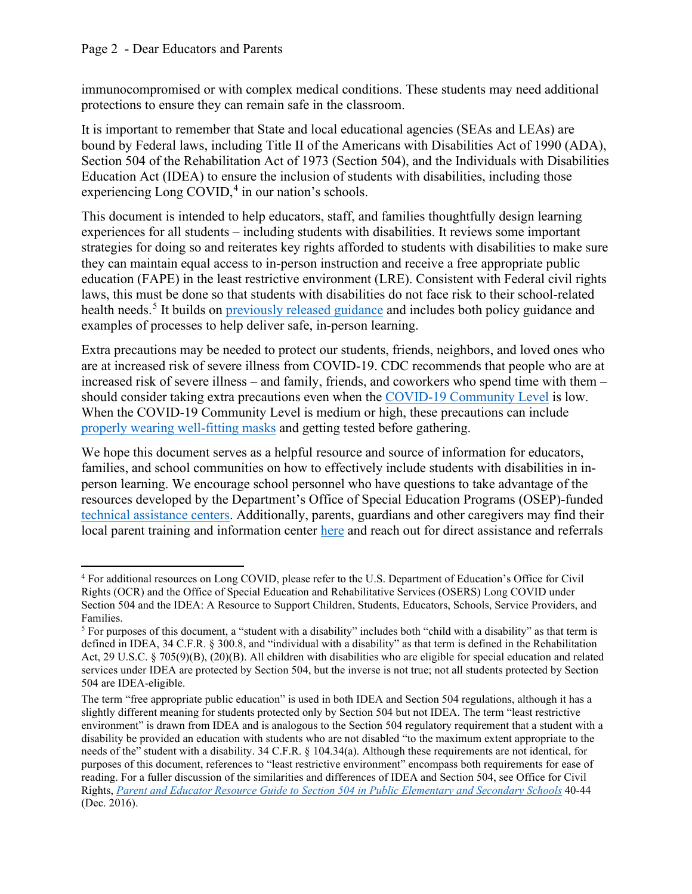immunocompromised or with complex medical conditions. These students may need additional protections to ensure they can remain safe in the classroom.

It is important to remember that State and local educational agencies (SEAs and LEAs) are bound by Federal laws, including Title II of the Americans with Disabilities Act of 1990 (ADA), Section 504 of the Rehabilitation Act of 1973 (Section 504), and the Individuals with Disabilities Education Act (IDEA) to ensure the inclusion of students with disabilities, including those experiencing Long COVID,<sup>[4](#page-1-0)</sup> in our nation's schools.

This document is intended to help educators, staff, and families thoughtfully design learning experiences for all students – including students with disabilities. It reviews some important strategies for doing so and reiterates key rights afforded to students with disabilities to make sure they can maintain equal access to in-person instruction and receive a free appropriate public education (FAPE) in the least restrictive environment (LRE). Consistent with Federal civil rights laws, this must be done so that students with disabilities do not face risk to their school-related health needs.<sup>[5](#page-1-1)</sup> It builds on [previously released guidance](https://www.ed.gov/coronavirus/factsheets/disability-rights) and includes both policy guidance and examples of processes to help deliver safe, in-person learning.

Extra precautions may be needed to protect our students, friends, neighbors, and loved ones who are at increased risk of severe illness from COVID-19. CDC recommends that people who are at increased risk of severe illness – and family, friends, and coworkers who spend time with them – should consider taking extra precautions even when the [COVID-19 Community Level](https://www.cdc.gov/coronavirus/2019-ncov/your-health/covid-by-county.html) is low. When the COVID-19 Community Level is medium or high, these precautions can include [properly wearing well-fitting masks](https://www.cdc.gov/coronavirus/2019-ncov/prevent-getting-sick/prevention.html) and getting tested before gathering.

We hope this document serves as a helpful resource and source of information for educators, families, and school communities on how to effectively include students with disabilities in inperson learning. We encourage school personnel who have questions to take advantage of the resources developed by the Department's Office of Special Education Programs (OSEP)-funded [technical assistance centers.](https://osepideasthatwork.org/find-a-resource?search_api_fulltext=COVID&custom_search=resources) Additionally, parents, guardians and other caregivers may find their local parent training and information center [here](https://www.parentcenterhub.org/find-your-center/) and reach out for direct assistance and referrals

<span id="page-1-0"></span><sup>4</sup> For additional resources on Long COVID, please refer to the U.S. Department of Education's Office for Civil Rights (OCR) and the Office of Special Education and Rehabilitative Services (OSERS) Long COVID under Section 504 and the IDEA: A Resource to Support Children, Students, Educators, Schools, Service Providers, and Families.

<span id="page-1-1"></span><sup>&</sup>lt;sup>5</sup> For purposes of this document, a "student with a disability" includes both "child with a disability" as that term is defined in IDEA, 34 C.F.R. § 300.8, and "individual with a disability" as that term is defined in the Rehabilitation Act, 29 U.S.C. § 705(9)(B), (20)(B). All children with disabilities who are eligible for special education and related services under IDEA are protected by Section 504, but the inverse is not true; not all students protected by Section 504 are IDEA-eligible.

The term "free appropriate public education" is used in both IDEA and Section 504 regulations, although it has a slightly different meaning for students protected only by Section 504 but not IDEA. The term "least restrictive environment" is drawn from IDEA and is analogous to the Section 504 regulatory requirement that a student with a disability be provided an education with students who are not disabled "to the maximum extent appropriate to the needs of the" student with a disability. 34 C.F.R. § 104.34(a). Although these requirements are not identical, for purposes of this document, references to "least restrictive environment" encompass both requirements for ease of reading. For a fuller discussion of the similarities and differences of IDEA and Section 504, see Office for Civil Rights, *[Parent and Educator Resource Guide to Section 504 in Public Elementary and Secondary Schools](https://www2.ed.gov/about/offices/list/ocr/docs/504-resource-guide-201612.pdf)* 40-44 (Dec. 2016).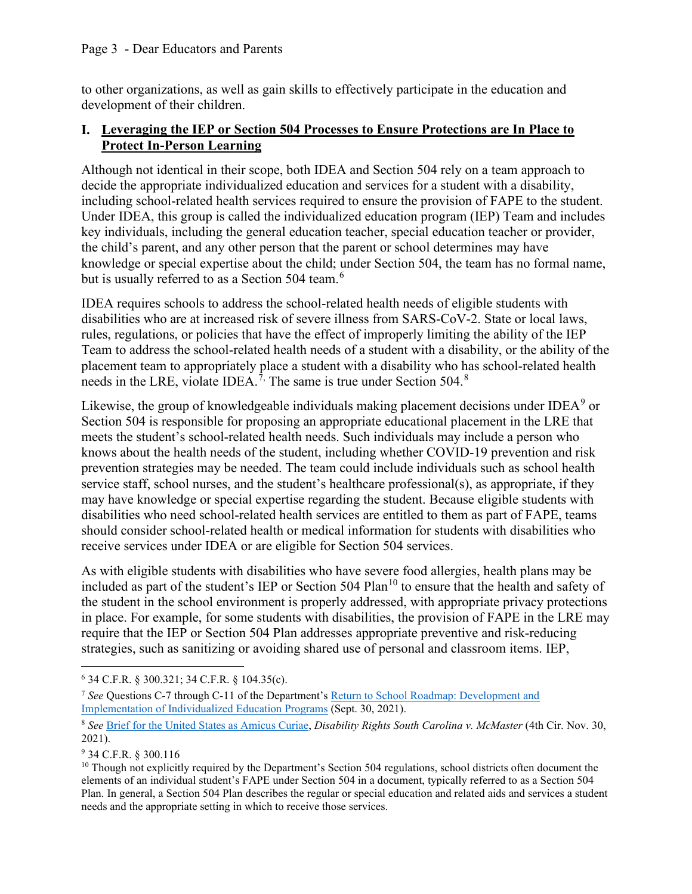to other organizations, as well as gain skills to effectively participate in the education and development of their children.

## **I. Leveraging the IEP or Section 504 Processes to Ensure Protections are In Place to Protect In-Person Learning**

Although not identical in their scope, both IDEA and Section 504 rely on a team approach to decide the appropriate individualized education and services for a student with a disability, including school-related health services required to ensure the provision of FAPE to the student. Under IDEA, this group is called the individualized education program (IEP) Team and includes key individuals, including the general education teacher, special education teacher or provider, the child's parent, and any other person that the parent or school determines may have knowledge or special expertise about the child; under Section 504, the team has no formal name, but is usually referred to as a Section 504 team.<sup>[6](#page-2-0)</sup>

IDEA requires schools to address the school-related health needs of eligible students with disabilities who are at increased risk of severe illness from SARS-CoV-2. State or local laws, rules, regulations, or policies that have the effect of improperly limiting the ability of the IEP Team to address the school-related health needs of a student with a disability, or the ability of the placement team to appropriately place a student with a disability who has school-related health needs in the LRE, violate IDEA.<sup> $7$ ,</sup> The same is true under Section 504.<sup>[8](#page-2-2)</sup>

Likewise, the group of knowledgeable individuals making placement decisions under IDEA<sup>[9](#page-2-3)</sup> or Section 504 is responsible for proposing an appropriate educational placement in the LRE that meets the student's school-related health needs. Such individuals may include a person who knows about the health needs of the student, including whether COVID-19 prevention and risk prevention strategies may be needed. The team could include individuals such as school health service staff, school nurses, and the student's healthcare professional(s), as appropriate, if they may have knowledge or special expertise regarding the student. Because eligible students with disabilities who need school-related health services are entitled to them as part of FAPE, teams should consider school-related health or medical information for students with disabilities who receive services under IDEA or are eligible for Section 504 services.

As with eligible students with disabilities who have severe food allergies, health plans may be included as part of the student's IEP or Section 504 Plan<sup>10</sup> to ensure that the health and safety of the student in the school environment is properly addressed, with appropriate privacy protections in place. For example, for some students with disabilities, the provision of FAPE in the LRE may require that the IEP or Section 504 Plan addresses appropriate preventive and risk-reducing strategies, such as sanitizing or avoiding shared use of personal and classroom items. IEP,

<span id="page-2-0"></span><sup>6</sup> 34 C.F.R. § 300.321; 34 C.F.R. § 104.35(c).

<span id="page-2-1"></span><sup>7</sup> *See* Questions C-7 through C-11 of the Department'[s Return to School Roadmap: Development and](https://sites.ed.gov/idea/idea-files/return-to-school-roadmap-development-and-implementation-of-ieps/#_Toc83713878)  [Implementation of Individualized Education Programs](https://sites.ed.gov/idea/idea-files/return-to-school-roadmap-development-and-implementation-of-ieps/#_Toc83713878) (Sept. 30, 2021).

<span id="page-2-2"></span><sup>8</sup> *See* [Brief for the United States as Amicus Curiae,](https://www.justice.gov/crt/case-document/disability-rights-south-carolina-v-mcmaster-brief-amicus) *Disability Rights South Carolina v. McMaster* (4th Cir. Nov. 30, 2021).

<span id="page-2-3"></span><sup>9</sup> 34 C.F.R. § 300.116

<span id="page-2-4"></span><sup>&</sup>lt;sup>10</sup> Though not explicitly required by the Department's Section 504 regulations, school districts often document the elements of an individual student's FAPE under Section 504 in a document, typically referred to as a Section 504 Plan. In general, a Section 504 Plan describes the regular or special education and related aids and services a student needs and the appropriate setting in which to receive those services.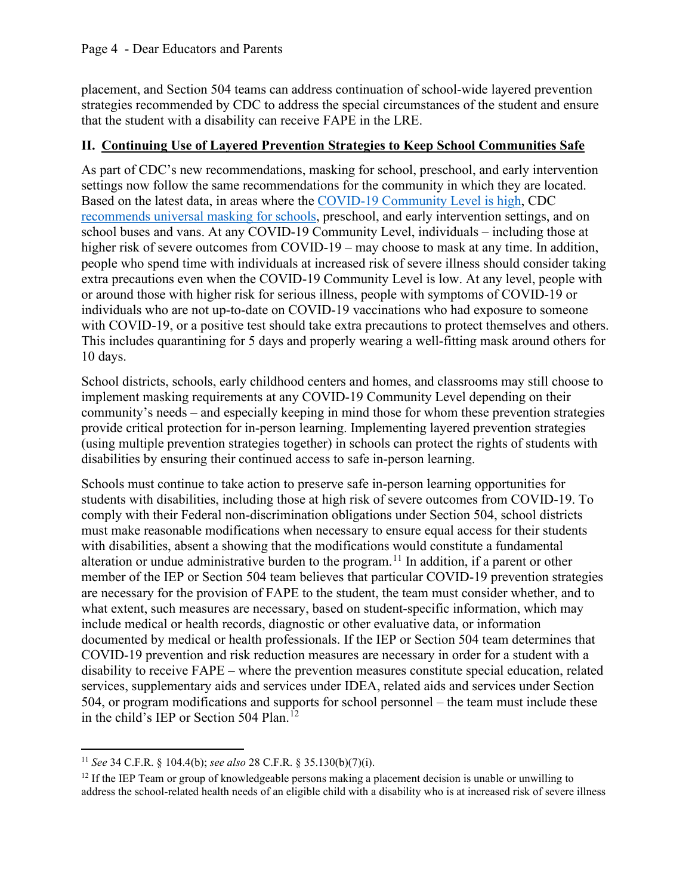placement, and Section 504 teams can address continuation of school-wide layered prevention strategies recommended by CDC to address the special circumstances of the student and ensure that the student with a disability can receive FAPE in the LRE.

## **II. Continuing Use of Layered Prevention Strategies to Keep School Communities Safe**

As part of CDC's new recommendations, masking for school, preschool, and early intervention settings now follow the same recommendations for the community in which they are located. Based on the latest data, in areas where the [COVID-19 Community Level is high,](https://www.cdc.gov/coronavirus/2019-ncov/your-health/covid-by-county.html) CDC [recommends universal masking for schools,](https://www.cdc.gov/coronavirus/2019-ncov/prevent-getting-sick/about-face-coverings.html) preschool, and early intervention settings, and on school buses and vans. At any COVID-19 Community Level, individuals – including those at higher risk of severe outcomes from COVID-19 – may choose to mask at any time. In addition, people who spend time with individuals at increased risk of severe illness should consider taking extra precautions even when the COVID-19 Community Level is low. At any level, people with or around those with higher risk for serious illness, people with symptoms of COVID-19 or individuals who are not up-to-date on COVID-19 vaccinations who had exposure to someone with COVID-19, or a positive test should take extra precautions to protect themselves and others. This includes quarantining for 5 days and properly wearing a well-fitting mask around others for 10 days.

School districts, schools, early childhood centers and homes, and classrooms may still choose to implement masking requirements at any COVID-19 Community Level depending on their community's needs – and especially keeping in mind those for whom these prevention strategies provide critical protection for in-person learning. Implementing layered prevention strategies (using multiple prevention strategies together) in schools can protect the rights of students with disabilities by ensuring their continued access to safe in-person learning.

Schools must continue to take action to preserve safe in-person learning opportunities for students with disabilities, including those at high risk of severe outcomes from COVID-19. To comply with their Federal non-discrimination obligations under Section 504, school districts must make reasonable modifications when necessary to ensure equal access for their students with disabilities, absent a showing that the modifications would constitute a fundamental alteration or undue administrative burden to the program.<sup>11</sup> In addition, if a parent or other member of the IEP or Section 504 team believes that particular COVID-19 prevention strategies are necessary for the provision of FAPE to the student, the team must consider whether, and to what extent, such measures are necessary, based on student-specific information, which may include medical or health records, diagnostic or other evaluative data, or information documented by medical or health professionals. If the IEP or Section 504 team determines that COVID-19 prevention and risk reduction measures are necessary in order for a student with a disability to receive FAPE – where the prevention measures constitute special education, related services, supplementary aids and services under IDEA, related aids and services under Section 504, or program modifications and supports for school personnel – the team must include these in the child's IEP or Section 504 Plan.<sup>12</sup>

<span id="page-3-0"></span><sup>11</sup> *See* 34 C.F.R. § 104.4(b); *see also* 28 C.F.R. § 35.130(b)(7)(i).

<span id="page-3-1"></span> $12$  If the IEP Team or group of knowledgeable persons making a placement decision is unable or unwilling to address the school-related health needs of an eligible child with a disability who is at increased risk of severe illness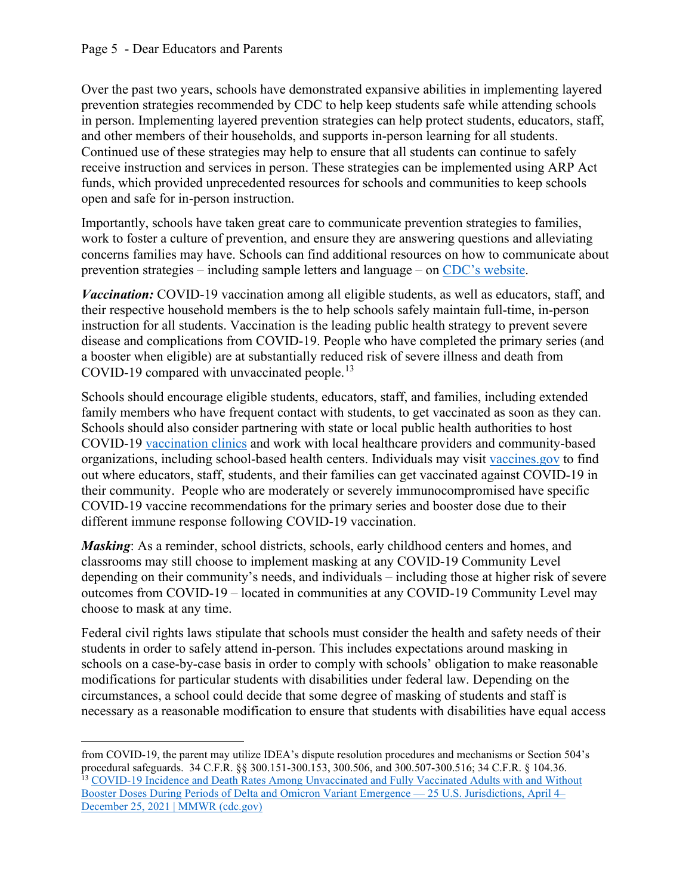Over the past two years, schools have demonstrated expansive abilities in implementing layered prevention strategies recommended by CDC to help keep students safe while attending schools in person. Implementing layered prevention strategies can help protect students, educators, staff, and other members of their households, and supports in-person learning for all students. Continued use of these strategies may help to ensure that all students can continue to safely receive instruction and services in person. These strategies can be implemented using ARP Act funds, which provided unprecedented resources for schools and communities to keep schools open and safe for in-person instruction.

Importantly, schools have taken great care to communicate prevention strategies to families, work to foster a culture of prevention, and ensure they are answering questions and alleviating concerns families may have. Schools can find additional resources on how to communicate about prevention strategies – including sample letters and language – on CDC's [website.](https://www.cdc.gov/coronavirus/2019-ncov/community/schools-childcare/school-testing.html)

*Vaccination:* COVID-19 vaccination among all eligible students, as well as educators, staff, and their respective household members is the to help schools safely maintain full-time, in-person instruction for all students. Vaccination is the leading public health strategy to prevent severe disease and complications from COVID-19. People who have completed the primary series (and a booster when eligible) are at substantially reduced risk of severe illness and death from COVID-19 compared with unvaccinated people.<sup>[13](#page-4-0)</sup>

Schools should encourage eligible students, educators, staff, and families, including extended family members who have frequent contact with students, to get vaccinated as soon as they can. Schools should also consider partnering with state or local public health authorities to host COVID-19 [vaccination clinics](https://www.cdc.gov/vaccines/covid-19/planning/school-located-clinics.html) and work with local healthcare providers and community-based organizations, including school-based health centers. Individuals may visit [vaccines.gov](http://www.vaccines.gov/) to find out where educators, staff, students, and their families can get vaccinated against COVID-19 in their community. People who are moderately or severely immunocompromised have specific COVID-19 vaccine recommendations for the primary series and booster dose due to their different immune response following COVID-19 vaccination.

*Masking*: As a reminder, school districts, schools, early childhood centers and homes, and classrooms may still choose to implement masking at any COVID-19 Community Level depending on their community's needs, and individuals – including those at higher risk of severe outcomes from COVID-19 – located in communities at any COVID-19 Community Level may choose to mask at any time.

Federal civil rights laws stipulate that schools must consider the health and safety needs of their students in order to safely attend in-person. This includes expectations around masking in schools on a case-by-case basis in order to comply with schools' obligation to make reasonable modifications for particular students with disabilities under federal law. Depending on the circumstances, a school could decide that some degree of masking of students and staff is necessary as a reasonable modification to ensure that students with disabilities have equal access

<span id="page-4-0"></span>from COVID-19, the parent may utilize IDEA's dispute resolution procedures and mechanisms or Section 504's procedural safeguards. 34 C.F.R. §§ 300.151-300.153, 300.506, and 300.507-300.516; 34 C.F.R. § 104.36. 13 COVID-19 Incidence and Death Rates Among Unvaccinated and Fully Vaccinated Adults with and Without [Booster Doses During Periods of Delta and Omicron Variant Emergence — 25 U.S. Jurisdictions, April 4–](https://www.cdc.gov/mmwr/volumes/71/wr/mm7104e2.htm) [December 25, 2021 | MMWR \(cdc.gov\)](https://www.cdc.gov/mmwr/volumes/71/wr/mm7104e2.htm)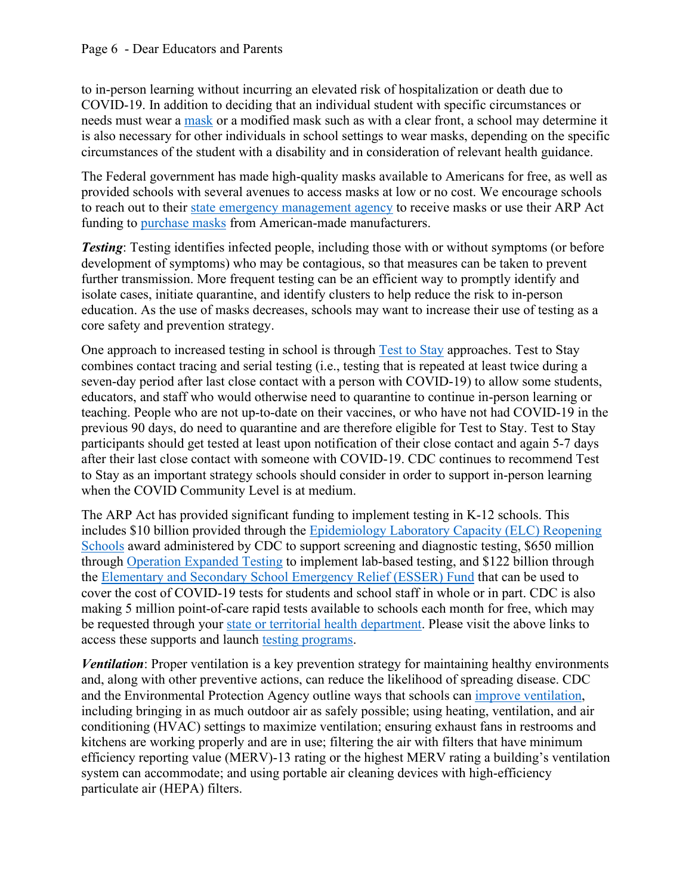to in-person learning without incurring an elevated risk of hospitalization or death due to COVID-19. In addition to deciding that an individual student with specific circumstances or needs must wear a [mask](https://www.cdc.gov/coronavirus/2019-ncov/prevent-getting-sick/about-face-coverings.html) or a modified mask such as with a clear front, a school may determine it is also necessary for other individuals in school settings to wear masks, depending on the specific circumstances of the student with a disability and in consideration of relevant health guidance.

The Federal government has made high-quality masks available to Americans for free, as well as provided schools with several avenues to access masks at low or no cost. We encourage schools to reach out to their [state emergency management agency](https://www.fema.gov/locations) to receive masks or use their ARP Act funding to [purchase masks](https://www.ammaunited.org/members) from American-made manufacturers.

*Testing*: Testing identifies infected people, including those with or without symptoms (or before development of symptoms) who may be contagious, so that measures can be taken to prevent further transmission. More frequent testing can be an efficient way to promptly identify and isolate cases, initiate quarantine, and identify clusters to help reduce the risk to in-person education. As the use of masks decreases, schools may want to increase their use of testing as a core safety and prevention strategy.

One approach to increased testing in school is through [Test to Stay](https://www.cdc.gov/media/releases/2021/s1217-Test-To-Stay.html) approaches. Test to Stay combines contact tracing and serial testing (i.e., testing that is repeated at least twice during a seven-day period after last close contact with a person with COVID-19) to allow some students, educators, and staff who would otherwise need to quarantine to continue in-person learning or teaching. People who are not up-to-date on their vaccines, or who have not had COVID-19 in the previous 90 days, do need to quarantine and are therefore eligible for Test to Stay. Test to Stay participants should get tested at least upon notification of their close contact and again 5-7 days after their last close contact with someone with COVID-19. CDC continues to recommend Test to Stay as an important strategy schools should consider in order to support in-person learning when the COVID Community Level is at medium.

The ARP Act has provided significant funding to implement testing in K-12 schools. This includes \$10 billion provided through the [Epidemiology Laboratory Capacity \(ELC\) Reopening](https://www.cdc.gov/ncezid/dpei/elc/covid-response/index.html)  [Schools](https://www.cdc.gov/ncezid/dpei/elc/covid-response/index.html) award administered by CDC to support screening and diagnostic testing, \$650 million through [Operation Expanded Testing](https://www.cdc.gov/coronavirus/2019-ncov/testing/operation-expanded-testing.html) to implement lab-based testing, and \$122 billion through the [Elementary and Secondary School Emergency Relief \(ESSER\) Fund](https://oese.ed.gov/offices/american-rescue-plan/american-rescue-plan-elementary-and-secondary-school-emergency-relief/) that can be used to cover the cost of COVID-19 tests for students and school staff in whole or in part. CDC is also making 5 million point-of-care rapid tests available to schools each month for free, which may be requested through your [state or territorial health department.](https://www.cdc.gov/ncezid/dpei/elc/covid-response/index.html) Please visit the above links to access these supports and launch [testing programs.](http://www.covidtests.gov/)

*Ventilation*: Proper ventilation is a key prevention strategy for maintaining healthy environments and, along with other preventive actions, can reduce the likelihood of spreading disease. CDC and the Environmental Protection Agency outline ways that schools can [improve ventilation,](https://www.cdc.gov/coronavirus/2019-ncov/community/ventilation.html) including bringing in as much outdoor air as safely possible; using heating, ventilation, and air conditioning (HVAC) settings to maximize ventilation; ensuring exhaust fans in restrooms and kitchens are working properly and are in use; filtering the air with filters that have minimum efficiency reporting value (MERV)-13 rating or the highest MERV rating a building's ventilation system can accommodate; and using portable air cleaning devices with high-efficiency particulate air (HEPA) filters.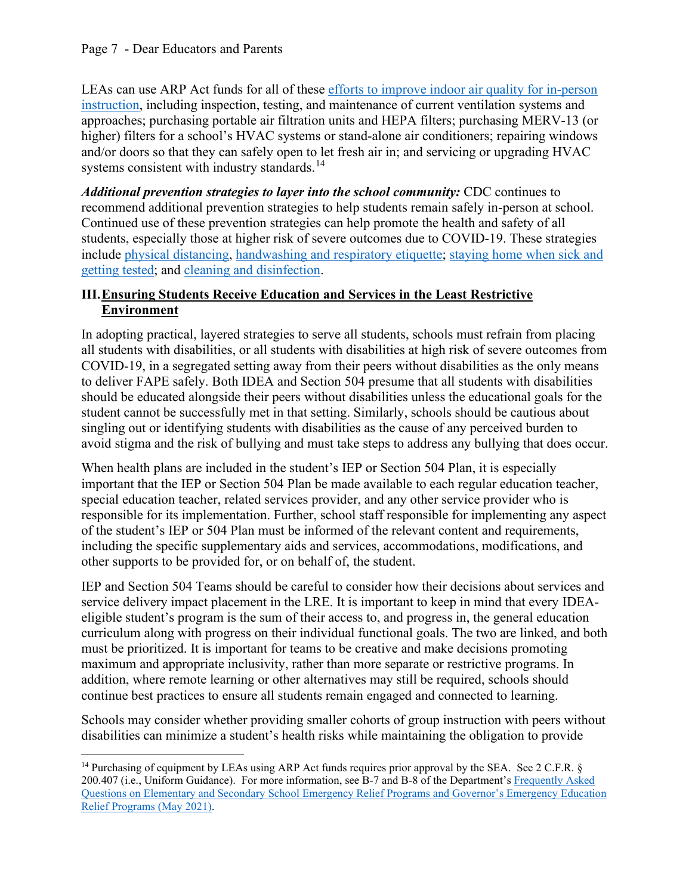LEAs can use ARP Act funds for all of these [efforts to improve indoor air quality for in-person](https://www.ed.gov/improving-ventilation-schools-colleges-and-universities-prevent-covid-19)  [instruction,](https://www.ed.gov/improving-ventilation-schools-colleges-and-universities-prevent-covid-19) including inspection, testing, and maintenance of current ventilation systems and approaches; purchasing portable air filtration units and HEPA filters; purchasing MERV-13 (or higher) filters for a school's HVAC systems or stand-alone air conditioners; repairing windows and/or doors so that they can safely open to let fresh air in; and servicing or upgrading HVAC systems consistent with industry standards.<sup>[14](#page-6-0)</sup>

*Additional prevention strategies to layer into the school community:* CDC continues to recommend additional prevention strategies to help students remain safely in-person at school. Continued use of these prevention strategies can help promote the health and safety of all students, especially those at higher risk of severe outcomes due to COVID-19. These strategies include [physical distancing,](https://www.cdc.gov/coronavirus/2019-ncov/community/schools-childcare/k-12-guidance.html#physical-distancing) [handwashing and respiratory etiquette;](https://www.cdc.gov/coronavirus/2019-ncov/community/schools-childcare/k-12-guidance.html#handwashing) [staying home when sick and](https://www.cdc.gov/coronavirus/2019-ncov/community/schools-childcare/k-12-guidance.html#staying-home)  [getting tested;](https://www.cdc.gov/coronavirus/2019-ncov/community/schools-childcare/k-12-guidance.html#staying-home) and [cleaning and disinfection.](https://www.cdc.gov/coronavirus/2019-ncov/community/schools-childcare/k-12-guidance.html#cleaning-disinfection)

## **III.Ensuring Students Receive Education and Services in the Least Restrictive Environment**

In adopting practical, layered strategies to serve all students, schools must refrain from placing all students with disabilities, or all students with disabilities at high risk of severe outcomes from COVID-19, in a segregated setting away from their peers without disabilities as the only means to deliver FAPE safely. Both IDEA and Section 504 presume that all students with disabilities should be educated alongside their peers without disabilities unless the educational goals for the student cannot be successfully met in that setting. Similarly, schools should be cautious about singling out or identifying students with disabilities as the cause of any perceived burden to avoid stigma and the risk of bullying and must take steps to address any bullying that does occur.

When health plans are included in the student's IEP or Section 504 Plan, it is especially important that the IEP or Section 504 Plan be made available to each regular education teacher, special education teacher, related services provider, and any other service provider who is responsible for its implementation. Further, school staff responsible for implementing any aspect of the student's IEP or 504 Plan must be informed of the relevant content and requirements, including the specific supplementary aids and services, accommodations, modifications, and other supports to be provided for, or on behalf of, the student.

IEP and Section 504 Teams should be careful to consider how their decisions about services and service delivery impact placement in the LRE. It is important to keep in mind that every IDEAeligible student's program is the sum of their access to, and progress in, the general education curriculum along with progress on their individual functional goals. The two are linked, and both must be prioritized. It is important for teams to be creative and make decisions promoting maximum and appropriate inclusivity, rather than more separate or restrictive programs. In addition, where remote learning or other alternatives may still be required, schools should continue best practices to ensure all students remain engaged and connected to learning.

Schools may consider whether providing smaller cohorts of group instruction with peers without disabilities can minimize a student's health risks while maintaining the obligation to provide

<span id="page-6-0"></span><sup>&</sup>lt;sup>14</sup> Purchasing of equipment by LEAs using ARP Act funds requires prior approval by the SEA. See 2 C.F.R. § 200.407 (i.e., Uniform Guidance). For more information, see B-7 and B-8 of the Department's [Frequently Asked](https://oese.ed.gov/files/2021/05/ESSER.GEER_.FAQs_5.26.21_745AM_FINALb0cd6833f6f46e03ba2d97d30aff953260028045f9ef3b18ea602db4b32b1d99.pdf)  Questions [on Elementary and Secondary School Emergency Relief Programs and Governor's Emergency Education](https://oese.ed.gov/files/2021/05/ESSER.GEER_.FAQs_5.26.21_745AM_FINALb0cd6833f6f46e03ba2d97d30aff953260028045f9ef3b18ea602db4b32b1d99.pdf)  [Relief Programs \(May 2021\).](https://oese.ed.gov/files/2021/05/ESSER.GEER_.FAQs_5.26.21_745AM_FINALb0cd6833f6f46e03ba2d97d30aff953260028045f9ef3b18ea602db4b32b1d99.pdf)